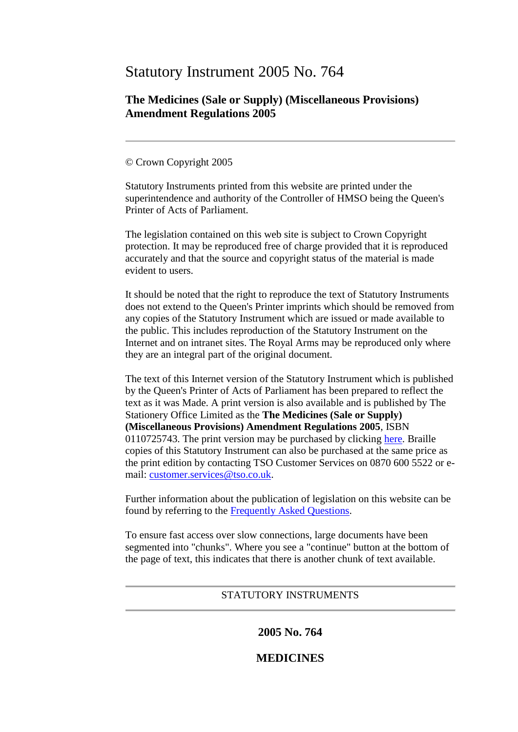# Statutory Instrument 2005 No. 764

# **The Medicines (Sale or Supply) (Miscellaneous Provisions) Amendment Regulations 2005**

### © Crown Copyright 2005

Statutory Instruments printed from this website are printed under the superintendence and authority of the Controller of HMSO being the Queen's Printer of Acts of Parliament.

The legislation contained on this web site is subject to Crown Copyright protection. It may be reproduced free of charge provided that it is reproduced accurately and that the source and copyright status of the material is made evident to users.

It should be noted that the right to reproduce the text of Statutory Instruments does not extend to the Queen's Printer imprints which should be removed from any copies of the Statutory Instrument which are issued or made available to the public. This includes reproduction of the Statutory Instrument on the Internet and on intranet sites. The Royal Arms may be reproduced only where they are an integral part of the original document.

The text of this Internet version of the Statutory Instrument which is published by the Queen's Printer of Acts of Parliament has been prepared to reflect the text as it was Made. A print version is also available and is published by The Stationery Office Limited as the **The Medicines (Sale or Supply) (Miscellaneous Provisions) Amendment Regulations 2005**, ISBN 0110725743. The print version may be purchased by clicking [here.](http://www.opsi.gov.uk/bookstore.htm?AF=A10075&FO=38383&Action=AddItem&ProductID=0110725743) Braille copies of this Statutory Instrument can also be purchased at the same price as the print edition by contacting TSO Customer Services on 0870 600 5522 or email: [customer.services@tso.co.uk.](mailto:customer.services@tso.co.uk)

Further information about the publication of legislation on this website can be found by referring to the [Frequently Asked Questions.](http://www.hmso.gov.uk/faqs.htm)

To ensure fast access over slow connections, large documents have been segmented into "chunks". Where you see a "continue" button at the bottom of the page of text, this indicates that there is another chunk of text available.

### STATUTORY INSTRUMENTS

# **2005 No. 764**

# **MEDICINES**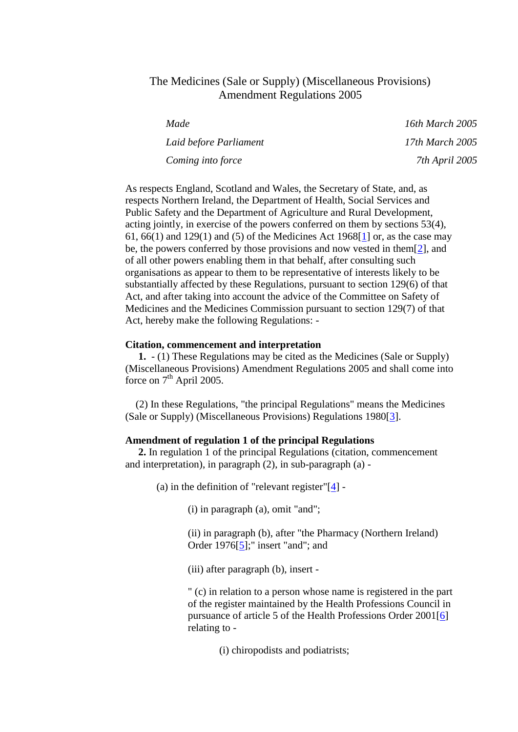### The Medicines (Sale or Supply) (Miscellaneous Provisions) Amendment Regulations 2005

| Made                   | 16th March 2005 |
|------------------------|-----------------|
| Laid before Parliament | 17th March 2005 |
| Coming into force      | 7th April 2005  |

As respects England, Scotland and Wales, the Secretary of State, and, as respects Northern Ireland, the Department of Health, Social Services and Public Safety and the Department of Agriculture and Rural Development, acting jointly, in exercise of the powers conferred on them by sections 53(4), 61, 66(1) and 129(1) and (5) of the Medicines Act 1968[\[1\]](http://www.opsi.gov.uk/si/si2005/20050764.htm#note1) or, as the case may be, the powers conferred by those provisions and now vested in them[\[2\]](http://www.opsi.gov.uk/si/si2005/20050764.htm#note2), and of all other powers enabling them in that behalf, after consulting such organisations as appear to them to be representative of interests likely to be substantially affected by these Regulations, pursuant to section 129(6) of that Act, and after taking into account the advice of the Committee on Safety of Medicines and the Medicines Commission pursuant to section 129(7) of that Act, hereby make the following Regulations: -

#### **Citation, commencement and interpretation**

**1.** - (1) These Regulations may be cited as the Medicines (Sale or Supply) (Miscellaneous Provisions) Amendment Regulations 2005 and shall come into force on  $7<sup>th</sup>$  April 2005.

(2) In these Regulations, "the principal Regulations" means the Medicines (Sale or Supply) (Miscellaneous Provisions) Regulations 1980[\[3\]](http://www.opsi.gov.uk/si/si2005/20050764.htm#note3).

#### **Amendment of regulation 1 of the principal Regulations**

**2.** In regulation 1 of the principal Regulations (citation, commencement and interpretation), in paragraph (2), in sub-paragraph (a) -

(a) in the definition of "relevant register"[\[4\]](http://www.opsi.gov.uk/si/si2005/20050764.htm#note4) -

(i) in paragraph (a), omit "and";

(ii) in paragraph (b), after "the Pharmacy (Northern Ireland) Order 1976[\[5\]](http://www.opsi.gov.uk/si/si2005/20050764.htm#note5);" insert "and"; and

(iii) after paragraph (b), insert -

" (c) in relation to a person whose name is registered in the part of the register maintained by the Health Professions Council in pursuance of article 5 of the Health Professions Order 2001[\[6\]](http://www.opsi.gov.uk/si/si2005/20050764.htm#note6) relating to -

(i) chiropodists and podiatrists;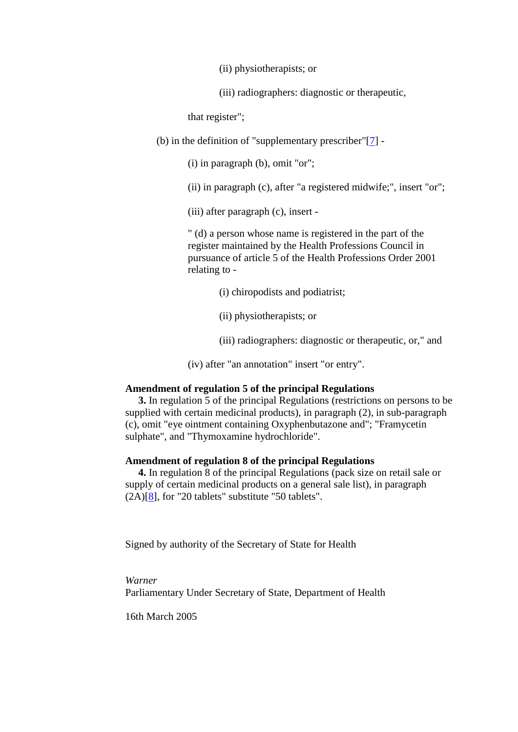(ii) physiotherapists; or

(iii) radiographers: diagnostic or therapeutic,

that register";

(b) in the definition of "supplementary prescriber" $[7]$  -

(i) in paragraph (b), omit "or";

(ii) in paragraph (c), after "a registered midwife;", insert "or";

(iii) after paragraph (c), insert -

" (d) a person whose name is registered in the part of the register maintained by the Health Professions Council in pursuance of article 5 of the Health Professions Order 2001 relating to -

(i) chiropodists and podiatrist;

(ii) physiotherapists; or

(iii) radiographers: diagnostic or therapeutic, or," and

(iv) after "an annotation" insert "or entry".

### **Amendment of regulation 5 of the principal Regulations**

**3.** In regulation 5 of the principal Regulations (restrictions on persons to be supplied with certain medicinal products), in paragraph (2), in sub-paragraph (c), omit "eye ointment containing Oxyphenbutazone and"; "Framycetin sulphate", and "Thymoxamine hydrochloride".

#### **Amendment of regulation 8 of the principal Regulations**

**4.** In regulation 8 of the principal Regulations (pack size on retail sale or supply of certain medicinal products on a general sale list), in paragraph  $(2A)[8]$  $(2A)[8]$ , for "20 tablets" substitute "50 tablets".

Signed by authority of the Secretary of State for Health

*Warner* Parliamentary Under Secretary of State, Department of Health

16th March 2005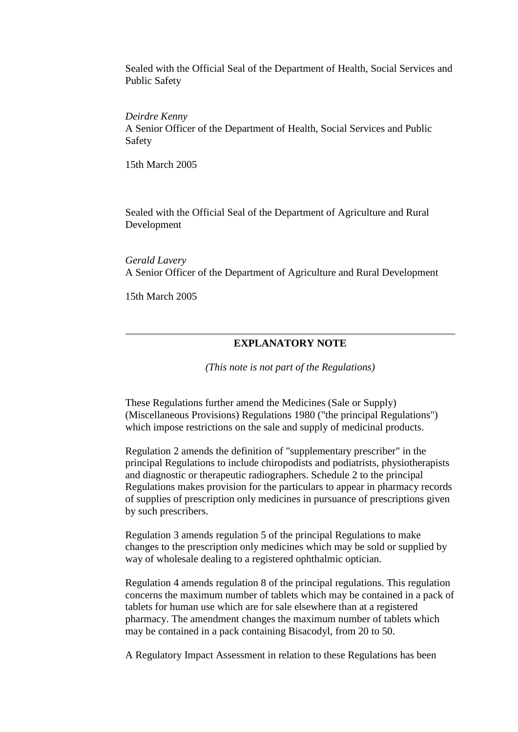Sealed with the Official Seal of the Department of Health, Social Services and Public Safety

*Deirdre Kenny*

A Senior Officer of the Department of Health, Social Services and Public Safety

15th March 2005

Sealed with the Official Seal of the Department of Agriculture and Rural Development

*Gerald Lavery* A Senior Officer of the Department of Agriculture and Rural Development

15th March 2005

## **EXPLANATORY NOTE**

*(This note is not part of the Regulations)*

These Regulations further amend the Medicines (Sale or Supply) (Miscellaneous Provisions) Regulations 1980 ("the principal Regulations") which impose restrictions on the sale and supply of medicinal products.

Regulation 2 amends the definition of "supplementary prescriber" in the principal Regulations to include chiropodists and podiatrists, physiotherapists and diagnostic or therapeutic radiographers. Schedule 2 to the principal Regulations makes provision for the particulars to appear in pharmacy records of supplies of prescription only medicines in pursuance of prescriptions given by such prescribers.

Regulation 3 amends regulation 5 of the principal Regulations to make changes to the prescription only medicines which may be sold or supplied by way of wholesale dealing to a registered ophthalmic optician.

Regulation 4 amends regulation 8 of the principal regulations. This regulation concerns the maximum number of tablets which may be contained in a pack of tablets for human use which are for sale elsewhere than at a registered pharmacy. The amendment changes the maximum number of tablets which may be contained in a pack containing Bisacodyl, from 20 to 50.

A Regulatory Impact Assessment in relation to these Regulations has been